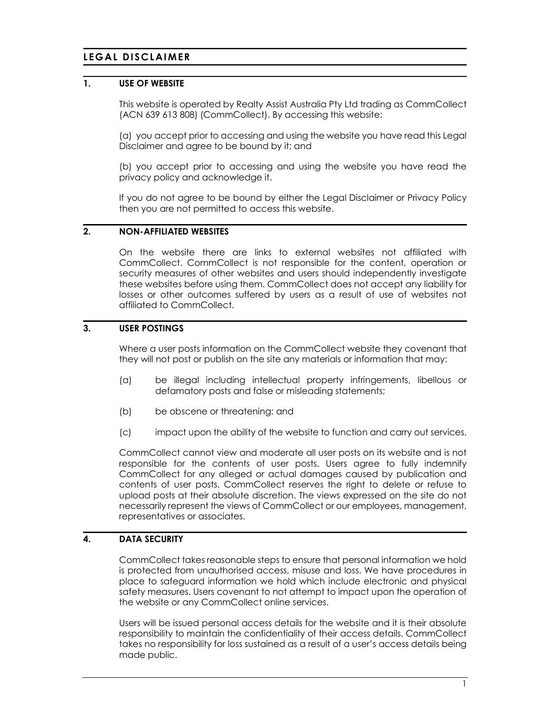# LEGAL DISCLAIMER

# 1. USE OF WEBSITE

This website is operated by Realty Assist Australia Pty Ltd trading as CommCollect (ACN 639 613 808) (CommCollect). By accessing this website:

(a) you accept prior to accessing and using the website you have read this Legal Disclaimer and agree to be bound by it; and

(b) you accept prior to accessing and using the website you have read the privacy policy and acknowledge it.

If you do not agree to be bound by either the Legal Disclaimer or Privacy Policy then you are not permitted to access this website.

#### 2. NON-AFFILIATED WEBSITES

On the website there are links to external websites not affiliated with CommCollect. CommCollect is not responsible for the content, operation or security measures of other websites and users should independently investigate these websites before using them. CommCollect does not accept any liability for losses or other outcomes suffered by users as a result of use of websites not affiliated to CommCollect.

# 3. USER POSTINGS

Where a user posts information on the CommCollect website they covenant that they will not post or publish on the site any materials or information that may:

- (a) be illegal including intellectual property infringements, libellous or defamatory posts and false or misleading statements;
- (b) be obscene or threatening; and
- (c) impact upon the ability of the website to function and carry out services.

CommCollect cannot view and moderate all user posts on its website and is not responsible for the contents of user posts. Users agree to fully indemnify CommCollect for any alleged or actual damages caused by publication and contents of user posts. CommCollect reserves the right to delete or refuse to upload posts at their absolute discretion. The views expressed on the site do not necessarily represent the views of CommCollect or our employees, management, representatives or associates.

# 4. DATA SECURITY

CommCollect takes reasonable steps to ensure that personal information we hold is protected from unauthorised access, misuse and loss. We have procedures in place to safeguard information we hold which include electronic and physical safety measures. Users covenant to not attempt to impact upon the operation of the website or any CommCollect online services.

Users will be issued personal access details for the website and it is their absolute responsibility to maintain the confidentiality of their access details. CommCollect takes no responsibility for loss sustained as a result of a user's access details being made public.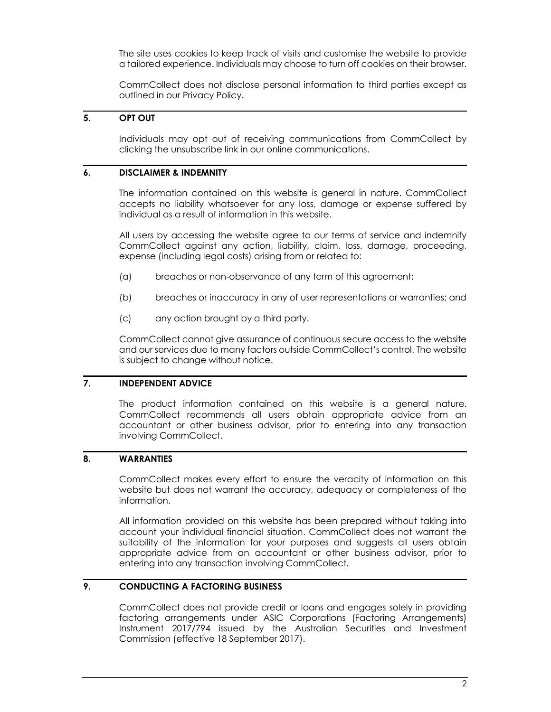The site uses cookies to keep track of visits and customise the website to provide a tailored experience. Individuals may choose to turn off cookies on their browser.

CommCollect does not disclose personal information to third parties except as outlined in our Privacy Policy.

# 5. OPT OUT

Individuals may opt out of receiving communications from CommCollect by clicking the unsubscribe link in our online communications.

#### 6. DISCLAIMER & INDEMNITY

The information contained on this website is general in nature. CommCollect accepts no liability whatsoever for any loss, damage or expense suffered by individual as a result of information in this website.

All users by accessing the website agree to our terms of service and indemnify CommCollect against any action, liability, claim, loss, damage, proceeding, expense (including legal costs) arising from or related to:

- (a) breaches or non-observance of any term of this agreement;
- (b) breaches or inaccuracy in any of user representations or warranties; and
- (c) any action brought by a third party.

CommCollect cannot give assurance of continuous secure access to the website and our services due to many factors outside CommCollect's control. The website is subject to change without notice.

#### 7. INDEPENDENT ADVICE

The product information contained on this website is a general nature. CommCollect recommends all users obtain appropriate advice from an accountant or other business advisor, prior to entering into any transaction involving CommCollect.

#### 8. WARRANTIES

CommCollect makes every effort to ensure the veracity of information on this website but does not warrant the accuracy, adequacy or completeness of the information.

All information provided on this website has been prepared without taking into account your individual financial situation. CommCollect does not warrant the suitability of the information for your purposes and suggests all users obtain appropriate advice from an accountant or other business advisor, prior to entering into any transaction involving CommCollect.

# 9. CONDUCTING A FACTORING BUSINESS

CommCollect does not provide credit or loans and engages solely in providing factoring arrangements under ASIC Corporations (Factoring Arrangements) Instrument 2017/794 issued by the Australian Securities and Investment Commission (effective 18 September 2017).